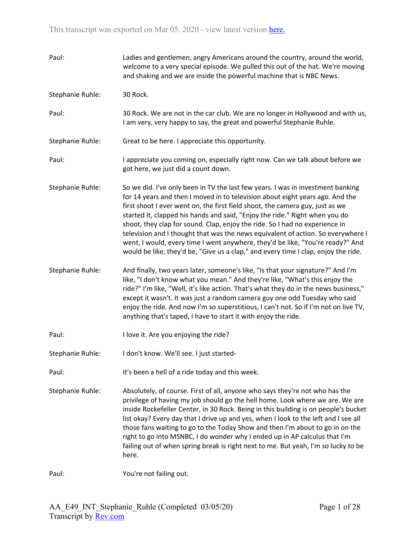| Paul:            | Ladies and gentlemen, angry Americans around the country, around the world,<br>welcome to a very special episode. We pulled this out of the hat. We're moving<br>and shaking and we are inside the powerful machine that is NBC News.                                                                                                                                                                                                                                                                                                                                                                                                                                       |
|------------------|-----------------------------------------------------------------------------------------------------------------------------------------------------------------------------------------------------------------------------------------------------------------------------------------------------------------------------------------------------------------------------------------------------------------------------------------------------------------------------------------------------------------------------------------------------------------------------------------------------------------------------------------------------------------------------|
| Stephanie Ruhle: | 30 Rock.                                                                                                                                                                                                                                                                                                                                                                                                                                                                                                                                                                                                                                                                    |
| Paul:            | 30 Rock. We are not in the car club. We are no longer in Hollywood and with us,<br>I am very, very happy to say, the great and powerful Stephanie Ruhle.                                                                                                                                                                                                                                                                                                                                                                                                                                                                                                                    |
| Stephanie Ruhle: | Great to be here. I appreciate this opportunity.                                                                                                                                                                                                                                                                                                                                                                                                                                                                                                                                                                                                                            |
| Paul:            | I appreciate you coming on, especially right now. Can we talk about before we<br>got here, we just did a count down.                                                                                                                                                                                                                                                                                                                                                                                                                                                                                                                                                        |
| Stephanie Ruhle: | So we did. I've only been in TV the last few years. I was in investment banking<br>for 14 years and then I moved in to television about eight years ago. And the<br>first shoot I ever went on, the first field shoot, the camera guy, just as we<br>started it, clapped his hands and said, "Enjoy the ride." Right when you do<br>shoot, they clap for sound. Clap, enjoy the ride. So I had no experience in<br>television and I thought that was the news equivalent of action. So everywhere I<br>went, I would, every time I went anywhere, they'd be like, "You're ready?" And<br>would be like, they'd be, "Give us a clap," and every time I clap, enjoy the ride. |
| Stephanie Ruhle: | And finally, two years later, someone's like, "Is that your signature?" And I'm<br>like, "I don't know what you mean." And they're like, "What's this enjoy the<br>ride?" I'm like, "Well, it's like action. That's what they do in the news business,"<br>except it wasn't. It was just a random camera guy one odd Tuesday who said<br>enjoy the ride. And now I'm so superstitious, I can't not. So if I'm not on live TV,<br>anything that's taped, I have to start it with enjoy the ride.                                                                                                                                                                             |
| Paul:            | I love it. Are you enjoying the ride?                                                                                                                                                                                                                                                                                                                                                                                                                                                                                                                                                                                                                                       |
| Stephanie Ruhle: | I don't know. We'll see. I just started-                                                                                                                                                                                                                                                                                                                                                                                                                                                                                                                                                                                                                                    |
| Paul:            | It's been a hell of a ride today and this week.                                                                                                                                                                                                                                                                                                                                                                                                                                                                                                                                                                                                                             |
| Stephanie Ruhle: | Absolutely, of course. First of all, anyone who says they're not who has the<br>privilege of having my job should go the hell home. Look where we are. We are<br>inside Rockefeller Center, in 30 Rock. Being in this building is on people's bucket<br>list okay? Every day that I drive up and yes, when I look to the left and I see all<br>those fans waiting to go to the Today Show and then I'm about to go in on the<br>right to go into MSNBC, I do wonder why I ended up in AP calculus that I'm<br>failing out of when spring break is right next to me. But yeah, I'm so lucky to be<br>here.                                                                   |
| Paul:            | You're not failing out.                                                                                                                                                                                                                                                                                                                                                                                                                                                                                                                                                                                                                                                     |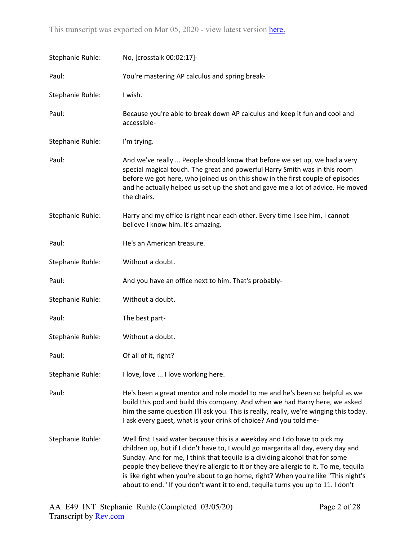| Stephanie Ruhle: | No, [crosstalk 00:02:17]-                                                                                                                                                                                                                                                                                                                                                                                                                                                                                        |
|------------------|------------------------------------------------------------------------------------------------------------------------------------------------------------------------------------------------------------------------------------------------------------------------------------------------------------------------------------------------------------------------------------------------------------------------------------------------------------------------------------------------------------------|
| Paul:            | You're mastering AP calculus and spring break-                                                                                                                                                                                                                                                                                                                                                                                                                                                                   |
| Stephanie Ruhle: | I wish.                                                                                                                                                                                                                                                                                                                                                                                                                                                                                                          |
| Paul:            | Because you're able to break down AP calculus and keep it fun and cool and<br>accessible-                                                                                                                                                                                                                                                                                                                                                                                                                        |
| Stephanie Ruhle: | I'm trying.                                                                                                                                                                                                                                                                                                                                                                                                                                                                                                      |
| Paul:            | And we've really  People should know that before we set up, we had a very<br>special magical touch. The great and powerful Harry Smith was in this room<br>before we got here, who joined us on this show in the first couple of episodes<br>and he actually helped us set up the shot and gave me a lot of advice. He moved<br>the chairs.                                                                                                                                                                      |
| Stephanie Ruhle: | Harry and my office is right near each other. Every time I see him, I cannot<br>believe I know him. It's amazing.                                                                                                                                                                                                                                                                                                                                                                                                |
| Paul:            | He's an American treasure.                                                                                                                                                                                                                                                                                                                                                                                                                                                                                       |
| Stephanie Ruhle: | Without a doubt.                                                                                                                                                                                                                                                                                                                                                                                                                                                                                                 |
| Paul:            | And you have an office next to him. That's probably-                                                                                                                                                                                                                                                                                                                                                                                                                                                             |
| Stephanie Ruhle: | Without a doubt.                                                                                                                                                                                                                                                                                                                                                                                                                                                                                                 |
| Paul:            | The best part-                                                                                                                                                                                                                                                                                                                                                                                                                                                                                                   |
| Stephanie Ruhle: | Without a doubt.                                                                                                                                                                                                                                                                                                                                                                                                                                                                                                 |
| Paul:            | Of all of it, right?                                                                                                                                                                                                                                                                                                                                                                                                                                                                                             |
| Stephanie Ruhle: | I love, love  I love working here.                                                                                                                                                                                                                                                                                                                                                                                                                                                                               |
| Paul:            | He's been a great mentor and role model to me and he's been so helpful as we<br>build this pod and build this company. And when we had Harry here, we asked<br>him the same question I'll ask you. This is really, really, we're winging this today.<br>I ask every guest, what is your drink of choice? And you told me-                                                                                                                                                                                        |
| Stephanie Ruhle: | Well first I said water because this is a weekday and I do have to pick my<br>children up, but if I didn't have to, I would go margarita all day, every day and<br>Sunday. And for me, I think that tequila is a dividing alcohol that for some<br>people they believe they're allergic to it or they are allergic to it. To me, tequila<br>is like right when you're about to go home, right? When you're like "This night's<br>about to end." If you don't want it to end, tequila turns you up to 11. I don't |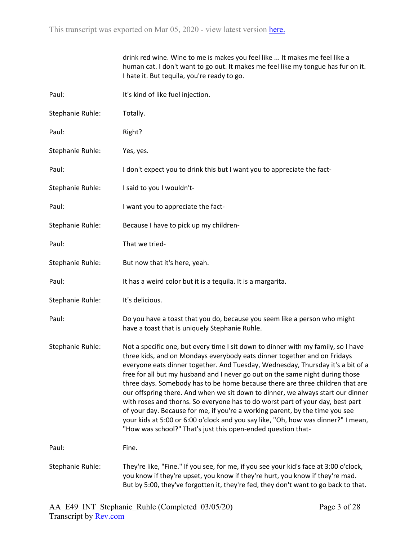|                  | drink red wine. Wine to me is makes you feel like  It makes me feel like a<br>human cat. I don't want to go out. It makes me feel like my tongue has fur on it.<br>I hate it. But tequila, you're ready to go.                                                                                                                                                                                                                                                                                                                                                                                                                                                                                                                                                                                                               |
|------------------|------------------------------------------------------------------------------------------------------------------------------------------------------------------------------------------------------------------------------------------------------------------------------------------------------------------------------------------------------------------------------------------------------------------------------------------------------------------------------------------------------------------------------------------------------------------------------------------------------------------------------------------------------------------------------------------------------------------------------------------------------------------------------------------------------------------------------|
| Paul:            | It's kind of like fuel injection.                                                                                                                                                                                                                                                                                                                                                                                                                                                                                                                                                                                                                                                                                                                                                                                            |
| Stephanie Ruhle: | Totally.                                                                                                                                                                                                                                                                                                                                                                                                                                                                                                                                                                                                                                                                                                                                                                                                                     |
| Paul:            | Right?                                                                                                                                                                                                                                                                                                                                                                                                                                                                                                                                                                                                                                                                                                                                                                                                                       |
| Stephanie Ruhle: | Yes, yes.                                                                                                                                                                                                                                                                                                                                                                                                                                                                                                                                                                                                                                                                                                                                                                                                                    |
| Paul:            | I don't expect you to drink this but I want you to appreciate the fact-                                                                                                                                                                                                                                                                                                                                                                                                                                                                                                                                                                                                                                                                                                                                                      |
| Stephanie Ruhle: | I said to you I wouldn't-                                                                                                                                                                                                                                                                                                                                                                                                                                                                                                                                                                                                                                                                                                                                                                                                    |
| Paul:            | I want you to appreciate the fact-                                                                                                                                                                                                                                                                                                                                                                                                                                                                                                                                                                                                                                                                                                                                                                                           |
| Stephanie Ruhle: | Because I have to pick up my children-                                                                                                                                                                                                                                                                                                                                                                                                                                                                                                                                                                                                                                                                                                                                                                                       |
| Paul:            | That we tried-                                                                                                                                                                                                                                                                                                                                                                                                                                                                                                                                                                                                                                                                                                                                                                                                               |
| Stephanie Ruhle: | But now that it's here, yeah.                                                                                                                                                                                                                                                                                                                                                                                                                                                                                                                                                                                                                                                                                                                                                                                                |
| Paul:            | It has a weird color but it is a tequila. It is a margarita.                                                                                                                                                                                                                                                                                                                                                                                                                                                                                                                                                                                                                                                                                                                                                                 |
| Stephanie Ruhle: | It's delicious.                                                                                                                                                                                                                                                                                                                                                                                                                                                                                                                                                                                                                                                                                                                                                                                                              |
| Paul:            | Do you have a toast that you do, because you seem like a person who might<br>have a toast that is uniquely Stephanie Ruhle.                                                                                                                                                                                                                                                                                                                                                                                                                                                                                                                                                                                                                                                                                                  |
| Stephanie Ruhle: | Not a specific one, but every time I sit down to dinner with my family, so I have<br>three kids, and on Mondays everybody eats dinner together and on Fridays<br>everyone eats dinner together. And Tuesday, Wednesday, Thursday it's a bit of a<br>free for all but my husband and I never go out on the same night during those<br>three days. Somebody has to be home because there are three children that are<br>our offspring there. And when we sit down to dinner, we always start our dinner<br>with roses and thorns. So everyone has to do worst part of your day, best part<br>of your day. Because for me, if you're a working parent, by the time you see<br>your kids at 5:00 or 6:00 o'clock and you say like, "Oh, how was dinner?" I mean,<br>"How was school?" That's just this open-ended question that- |
| Paul:            | Fine.                                                                                                                                                                                                                                                                                                                                                                                                                                                                                                                                                                                                                                                                                                                                                                                                                        |
| Stephanie Ruhle: | They're like, "Fine." If you see, for me, if you see your kid's face at 3:00 o'clock,<br>you know if they're upset, you know if they're hurt, you know if they're mad.<br>But by 5:00, they've forgotten it, they're fed, they don't want to go back to that.                                                                                                                                                                                                                                                                                                                                                                                                                                                                                                                                                                |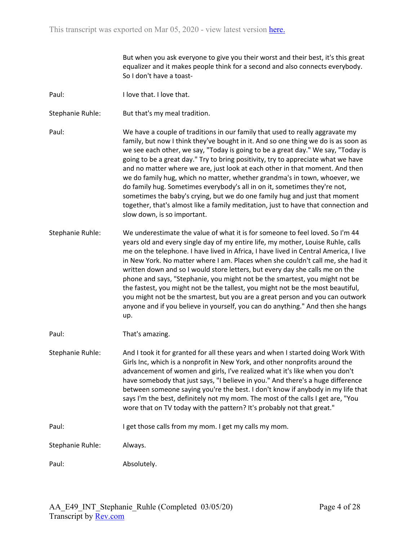But when you ask everyone to give you their worst and their best, it's this great equalizer and it makes people think for a second and also connects everybody. So I don't have a toast-

- Paul: I love that. I love that.
- Stephanie Ruhle: But that's my meal tradition.
- Paul: We have a couple of traditions in our family that used to really aggravate my family, but now I think they've bought in it. And so one thing we do is as soon as we see each other, we say, "Today is going to be a great day." We say, "Today is going to be a great day." Try to bring positivity, try to appreciate what we have and no matter where we are, just look at each other in that moment. And then we do family hug, which no matter, whether grandma's in town, whoever, we do family hug. Sometimes everybody's all in on it, sometimes they're not, sometimes the baby's crying, but we do one family hug and just that moment together, that's almost like a family meditation, just to have that connection and slow down, is so important.
- Stephanie Ruhle: We underestimate the value of what it is for someone to feel loved. So I'm 44 years old and every single day of my entire life, my mother, Louise Ruhle, calls me on the telephone. I have lived in Africa, I have lived in Central America, I live in New York. No matter where I am. Places when she couldn't call me, she had it written down and so I would store letters, but every day she calls me on the phone and says, "Stephanie, you might not be the smartest, you might not be the fastest, you might not be the tallest, you might not be the most beautiful, you might not be the smartest, but you are a great person and you can outwork anyone and if you believe in yourself, you can do anything." And then she hangs up.
- Paul: That's amazing.
- Stephanie Ruhle: And I took it for granted for all these years and when I started doing Work With Girls Inc, which is a nonprofit in New York, and other nonprofits around the advancement of women and girls, I've realized what it's like when you don't have somebody that just says, "I believe in you." And there's a huge difference between someone saying you're the best. I don't know if anybody in my life that says I'm the best, definitely not my mom. The most of the calls I get are, "You wore that on TV today with the pattern? It's probably not that great."
- Paul: I get those calls from my mom. I get my calls my mom.
- Stephanie Ruhle: Always.

Paul: Absolutely.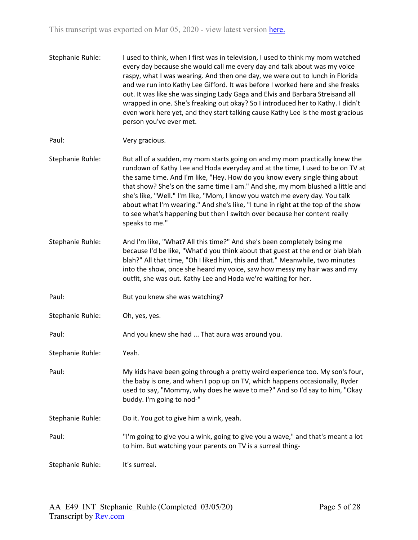Stephanie Ruhle: I used to think, when I first was in television, I used to think my mom watched every day because she would call me every day and talk about was my voice raspy, what I was wearing. And then one day, we were out to lunch in Florida and we run into Kathy Lee Gifford. It was before I worked here and she freaks out. It was like she was singing Lady Gaga and Elvis and Barbara Streisand all wrapped in one. She's freaking out okay? So I introduced her to Kathy. I didn't even work here yet, and they start talking cause Kathy Lee is the most gracious person you've ever met. Paul: Very gracious. Stephanie Ruhle: But all of a sudden, my mom starts going on and my mom practically knew the rundown of Kathy Lee and Hoda everyday and at the time, I used to be on TV at the same time. And I'm like, "Hey. How do you know every single thing about that show? She's on the same time I am." And she, my mom blushed a little and she's like, "Well." I'm like, "Mom, I know you watch me every day. You talk about what I'm wearing." And she's like, "I tune in right at the top of the show to see what's happening but then I switch over because her content really speaks to me." Stephanie Ruhle: And I'm like, "What? All this time?" And she's been completely bsing me because I'd be like, "What'd you think about that guest at the end or blah blah blah?" All that time, "Oh I liked him, this and that." Meanwhile, two minutes into the show, once she heard my voice, saw how messy my hair was and my outfit, she was out. Kathy Lee and Hoda we're waiting for her. Paul: But you knew she was watching? Stephanie Ruhle: Oh, yes, yes. Paul: And you knew she had ... That aura was around you. Stephanie Ruhle: Yeah. Paul: My kids have been going through a pretty weird experience too. My son's four, the baby is one, and when I pop up on TV, which happens occasionally, Ryder used to say, "Mommy, why does he wave to me?" And so I'd say to him, "Okay buddy. I'm going to nod-" Stephanie Ruhle: Do it. You got to give him a wink, yeah. Paul: "I'm going to give you a wink, going to give you a wave," and that's meant a lot

to him. But watching your parents on TV is a surreal thing-

Stephanie Ruhle: It's surreal.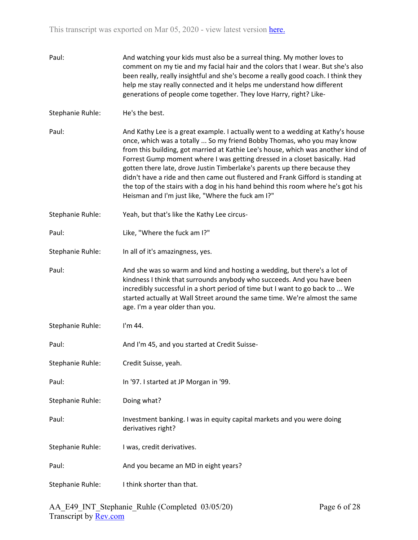| Paul:            | And watching your kids must also be a surreal thing. My mother loves to<br>comment on my tie and my facial hair and the colors that I wear. But she's also<br>been really, really insightful and she's become a really good coach. I think they<br>help me stay really connected and it helps me understand how different<br>generations of people come together. They love Harry, right? Like-                                                                                                                                                                                                                                       |
|------------------|---------------------------------------------------------------------------------------------------------------------------------------------------------------------------------------------------------------------------------------------------------------------------------------------------------------------------------------------------------------------------------------------------------------------------------------------------------------------------------------------------------------------------------------------------------------------------------------------------------------------------------------|
| Stephanie Ruhle: | He's the best.                                                                                                                                                                                                                                                                                                                                                                                                                                                                                                                                                                                                                        |
| Paul:            | And Kathy Lee is a great example. I actually went to a wedding at Kathy's house<br>once, which was a totally  So my friend Bobby Thomas, who you may know<br>from this building, got married at Kathie Lee's house, which was another kind of<br>Forrest Gump moment where I was getting dressed in a closet basically. Had<br>gotten there late, drove Justin Timberlake's parents up there because they<br>didn't have a ride and then came out flustered and Frank Gifford is standing at<br>the top of the stairs with a dog in his hand behind this room where he's got his<br>Heisman and I'm just like, "Where the fuck am I?" |
| Stephanie Ruhle: | Yeah, but that's like the Kathy Lee circus-                                                                                                                                                                                                                                                                                                                                                                                                                                                                                                                                                                                           |
| Paul:            | Like, "Where the fuck am I?"                                                                                                                                                                                                                                                                                                                                                                                                                                                                                                                                                                                                          |
| Stephanie Ruhle: | In all of it's amazingness, yes.                                                                                                                                                                                                                                                                                                                                                                                                                                                                                                                                                                                                      |
| Paul:            | And she was so warm and kind and hosting a wedding, but there's a lot of<br>kindness I think that surrounds anybody who succeeds. And you have been<br>incredibly successful in a short period of time but I want to go back to  We<br>started actually at Wall Street around the same time. We're almost the same<br>age. I'm a year older than you.                                                                                                                                                                                                                                                                                 |
| Stephanie Ruhle: | I'm 44.                                                                                                                                                                                                                                                                                                                                                                                                                                                                                                                                                                                                                               |
| Paul:            | And I'm 45, and you started at Credit Suisse-                                                                                                                                                                                                                                                                                                                                                                                                                                                                                                                                                                                         |
| Stephanie Ruhle: | Credit Suisse, yeah.                                                                                                                                                                                                                                                                                                                                                                                                                                                                                                                                                                                                                  |
| Paul:            | In '97. I started at JP Morgan in '99.                                                                                                                                                                                                                                                                                                                                                                                                                                                                                                                                                                                                |
| Stephanie Ruhle: | Doing what?                                                                                                                                                                                                                                                                                                                                                                                                                                                                                                                                                                                                                           |
| Paul:            | Investment banking. I was in equity capital markets and you were doing<br>derivatives right?                                                                                                                                                                                                                                                                                                                                                                                                                                                                                                                                          |
| Stephanie Ruhle: | I was, credit derivatives.                                                                                                                                                                                                                                                                                                                                                                                                                                                                                                                                                                                                            |
| Paul:            | And you became an MD in eight years?                                                                                                                                                                                                                                                                                                                                                                                                                                                                                                                                                                                                  |
| Stephanie Ruhle: | I think shorter than that.                                                                                                                                                                                                                                                                                                                                                                                                                                                                                                                                                                                                            |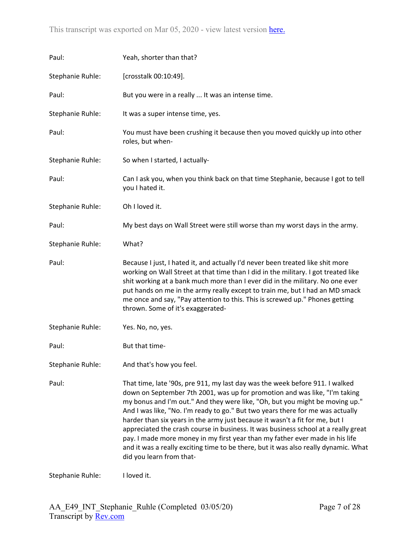| Paul:            | Yeah, shorter than that?                                                                                                                                                                                                                                                                                                                                                                                                                                                                                                                                                                                                                                                                              |
|------------------|-------------------------------------------------------------------------------------------------------------------------------------------------------------------------------------------------------------------------------------------------------------------------------------------------------------------------------------------------------------------------------------------------------------------------------------------------------------------------------------------------------------------------------------------------------------------------------------------------------------------------------------------------------------------------------------------------------|
| Stephanie Ruhle: | [crosstalk 00:10:49].                                                                                                                                                                                                                                                                                                                                                                                                                                                                                                                                                                                                                                                                                 |
| Paul:            | But you were in a really  It was an intense time.                                                                                                                                                                                                                                                                                                                                                                                                                                                                                                                                                                                                                                                     |
| Stephanie Ruhle: | It was a super intense time, yes.                                                                                                                                                                                                                                                                                                                                                                                                                                                                                                                                                                                                                                                                     |
| Paul:            | You must have been crushing it because then you moved quickly up into other<br>roles, but when-                                                                                                                                                                                                                                                                                                                                                                                                                                                                                                                                                                                                       |
| Stephanie Ruhle: | So when I started, I actually-                                                                                                                                                                                                                                                                                                                                                                                                                                                                                                                                                                                                                                                                        |
| Paul:            | Can I ask you, when you think back on that time Stephanie, because I got to tell<br>you I hated it.                                                                                                                                                                                                                                                                                                                                                                                                                                                                                                                                                                                                   |
| Stephanie Ruhle: | Oh I loved it.                                                                                                                                                                                                                                                                                                                                                                                                                                                                                                                                                                                                                                                                                        |
| Paul:            | My best days on Wall Street were still worse than my worst days in the army.                                                                                                                                                                                                                                                                                                                                                                                                                                                                                                                                                                                                                          |
| Stephanie Ruhle: | What?                                                                                                                                                                                                                                                                                                                                                                                                                                                                                                                                                                                                                                                                                                 |
| Paul:            | Because I just, I hated it, and actually I'd never been treated like shit more<br>working on Wall Street at that time than I did in the military. I got treated like<br>shit working at a bank much more than I ever did in the military. No one ever<br>put hands on me in the army really except to train me, but I had an MD smack<br>me once and say, "Pay attention to this. This is screwed up." Phones getting<br>thrown. Some of it's exaggerated-                                                                                                                                                                                                                                            |
| Stephanie Ruhle: | Yes. No, no, yes.                                                                                                                                                                                                                                                                                                                                                                                                                                                                                                                                                                                                                                                                                     |
| Paul:            | But that time-                                                                                                                                                                                                                                                                                                                                                                                                                                                                                                                                                                                                                                                                                        |
| Stephanie Ruhle: | And that's how you feel.                                                                                                                                                                                                                                                                                                                                                                                                                                                                                                                                                                                                                                                                              |
| Paul:            | That time, late '90s, pre 911, my last day was the week before 911. I walked<br>down on September 7th 2001, was up for promotion and was like, "I'm taking<br>my bonus and I'm out." And they were like, "Oh, but you might be moving up."<br>And I was like, "No. I'm ready to go." But two years there for me was actually<br>harder than six years in the army just because it wasn't a fit for me, but I<br>appreciated the crash course in business. It was business school at a really great<br>pay. I made more money in my first year than my father ever made in his life<br>and it was a really exciting time to be there, but it was also really dynamic. What<br>did you learn from that- |

Stephanie Ruhle: I loved it.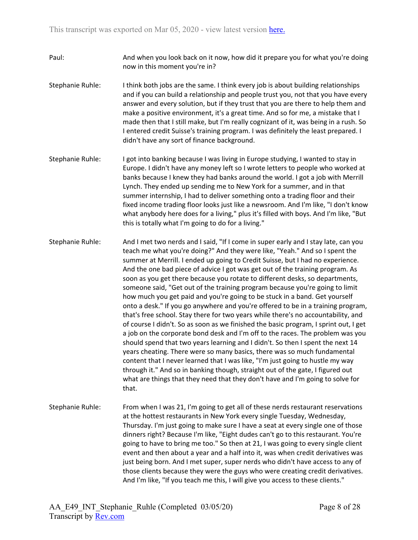- Paul: And when you look back on it now, how did it prepare you for what you're doing now in this moment you're in?
- Stephanie Ruhle: I think both jobs are the same. I think every job is about building relationships and if you can build a relationship and people trust you, not that you have every answer and every solution, but if they trust that you are there to help them and make a positive environment, it's a great time. And so for me, a mistake that I made then that I still make, but I'm really cognizant of it, was being in a rush. So I entered credit Suisse's training program. I was definitely the least prepared. I didn't have any sort of finance background.
- Stephanie Ruhle: I got into banking because I was living in Europe studying, I wanted to stay in Europe. I didn't have any money left so I wrote letters to people who worked at banks because I knew they had banks around the world. I got a job with Merrill Lynch. They ended up sending me to New York for a summer, and in that summer internship, I had to deliver something onto a trading floor and their fixed income trading floor looks just like a newsroom. And I'm like, "I don't know what anybody here does for a living," plus it's filled with boys. And I'm like, "But this is totally what I'm going to do for a living."
- Stephanie Ruhle: And I met two nerds and I said, "If I come in super early and I stay late, can you teach me what you're doing?" And they were like, "Yeah." And so I spent the summer at Merrill. I ended up going to Credit Suisse, but I had no experience. And the one bad piece of advice I got was get out of the training program. As soon as you get there because you rotate to different desks, so departments, someone said, "Get out of the training program because you're going to limit how much you get paid and you're going to be stuck in a band. Get yourself onto a desk." If you go anywhere and you're offered to be in a training program, that's free school. Stay there for two years while there's no accountability, and of course I didn't. So as soon as we finished the basic program, I sprint out, I get a job on the corporate bond desk and I'm off to the races. The problem was you should spend that two years learning and I didn't. So then I spent the next 14 years cheating. There were so many basics, there was so much fundamental content that I never learned that I was like, "I'm just going to hustle my way through it." And so in banking though, straight out of the gate, I figured out what are things that they need that they don't have and I'm going to solve for that.
- Stephanie Ruhle: From when I was 21, I'm going to get all of these nerds restaurant reservations at the hottest restaurants in New York every single Tuesday, Wednesday, Thursday. I'm just going to make sure I have a seat at every single one of those dinners right? Because I'm like, "Eight dudes can't go to this restaurant. You're going to have to bring me too." So then at 21, I was going to every single client event and then about a year and a half into it, was when credit derivatives was just being born. And I met super, super nerds who didn't have access to any of those clients because they were the guys who were creating credit derivatives. And I'm like, "If you teach me this, I will give you access to these clients."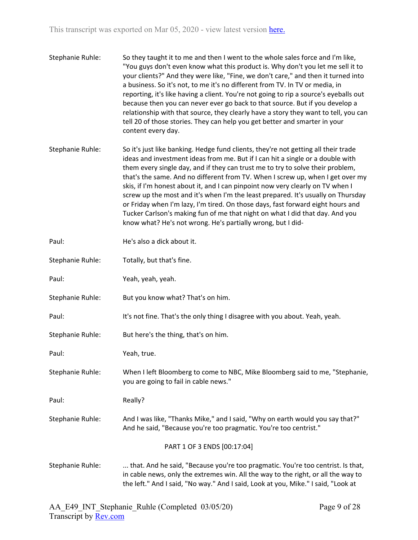- Stephanie Ruhle: So they taught it to me and then I went to the whole sales force and I'm like, "You guys don't even know what this product is. Why don't you let me sell it to your clients?" And they were like, "Fine, we don't care," and then it turned into a business. So it's not, to me it's no different from TV. In TV or media, in reporting, it's like having a client. You're not going to rip a source's eyeballs out because then you can never ever go back to that source. But if you develop a relationship with that source, they clearly have a story they want to tell, you can tell 20 of those stories. They can help you get better and smarter in your content every day.
- Stephanie Ruhle: So it's just like banking. Hedge fund clients, they're not getting all their trade ideas and investment ideas from me. But if I can hit a single or a double with them every single day, and if they can trust me to try to solve their problem, that's the same. And no different from TV. When I screw up, when I get over my skis, if I'm honest about it, and I can pinpoint now very clearly on TV when I screw up the most and it's when I'm the least prepared. It's usually on Thursday or Friday when I'm lazy, I'm tired. On those days, fast forward eight hours and Tucker Carlson's making fun of me that night on what I did that day. And you know what? He's not wrong. He's partially wrong, but I did-

| Paul:            | He's also a dick about it.                                                                                                                                                                                                                                |
|------------------|-----------------------------------------------------------------------------------------------------------------------------------------------------------------------------------------------------------------------------------------------------------|
| Stephanie Ruhle: | Totally, but that's fine.                                                                                                                                                                                                                                 |
| Paul:            | Yeah, yeah, yeah.                                                                                                                                                                                                                                         |
| Stephanie Ruhle: | But you know what? That's on him.                                                                                                                                                                                                                         |
| Paul:            | It's not fine. That's the only thing I disagree with you about. Yeah, yeah.                                                                                                                                                                               |
| Stephanie Ruhle: | But here's the thing, that's on him.                                                                                                                                                                                                                      |
| Paul:            | Yeah, true.                                                                                                                                                                                                                                               |
| Stephanie Ruhle: | When I left Bloomberg to come to NBC, Mike Bloomberg said to me, "Stephanie,<br>you are going to fail in cable news."                                                                                                                                     |
| Paul:            | Really?                                                                                                                                                                                                                                                   |
| Stephanie Ruhle: | And I was like, "Thanks Mike," and I said, "Why on earth would you say that?"<br>And he said, "Because you're too pragmatic. You're too centrist."                                                                                                        |
|                  | PART 1 OF 3 ENDS [00:17:04]                                                                                                                                                                                                                               |
| Stephanie Ruhle: | that. And he said, "Because you're too pragmatic. You're too centrist. Is that,<br>in cable news, only the extremes win. All the way to the right, or all the way to<br>the left." And I said, "No way." And I said, Look at you, Mike." I said, "Look at |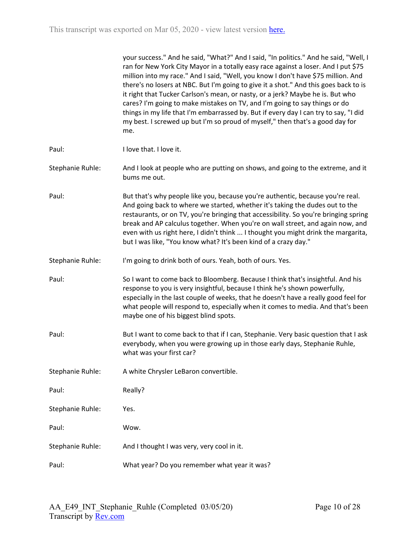|                  | your success." And he said, "What?" And I said, "In politics." And he said, "Well, I<br>ran for New York City Mayor in a totally easy race against a loser. And I put \$75<br>million into my race." And I said, "Well, you know I don't have \$75 million. And<br>there's no losers at NBC. But I'm going to give it a shot." And this goes back to is<br>it right that Tucker Carlson's mean, or nasty, or a jerk? Maybe he is. But who<br>cares? I'm going to make mistakes on TV, and I'm going to say things or do<br>things in my life that I'm embarrassed by. But if every day I can try to say, "I did<br>my best. I screwed up but I'm so proud of myself," then that's a good day for<br>me. |
|------------------|---------------------------------------------------------------------------------------------------------------------------------------------------------------------------------------------------------------------------------------------------------------------------------------------------------------------------------------------------------------------------------------------------------------------------------------------------------------------------------------------------------------------------------------------------------------------------------------------------------------------------------------------------------------------------------------------------------|
| Paul:            | I love that. I love it.                                                                                                                                                                                                                                                                                                                                                                                                                                                                                                                                                                                                                                                                                 |
| Stephanie Ruhle: | And I look at people who are putting on shows, and going to the extreme, and it<br>bums me out.                                                                                                                                                                                                                                                                                                                                                                                                                                                                                                                                                                                                         |
| Paul:            | But that's why people like you, because you're authentic, because you're real.<br>And going back to where we started, whether it's taking the dudes out to the<br>restaurants, or on TV, you're bringing that accessibility. So you're bringing spring<br>break and AP calculus together. When you're on wall street, and again now, and<br>even with us right here, I didn't think  I thought you might drink the margarita,<br>but I was like, "You know what? It's been kind of a crazy day."                                                                                                                                                                                                        |
| Stephanie Ruhle: | I'm going to drink both of ours. Yeah, both of ours. Yes.                                                                                                                                                                                                                                                                                                                                                                                                                                                                                                                                                                                                                                               |
| Paul:            | So I want to come back to Bloomberg. Because I think that's insightful. And his<br>response to you is very insightful, because I think he's shown powerfully,<br>especially in the last couple of weeks, that he doesn't have a really good feel for<br>what people will respond to, especially when it comes to media. And that's been<br>maybe one of his biggest blind spots.                                                                                                                                                                                                                                                                                                                        |
| Paul:            | But I want to come back to that if I can, Stephanie. Very basic question that I ask<br>everybody, when you were growing up in those early days, Stephanie Ruhle,<br>what was your first car?                                                                                                                                                                                                                                                                                                                                                                                                                                                                                                            |
| Stephanie Ruhle: | A white Chrysler LeBaron convertible.                                                                                                                                                                                                                                                                                                                                                                                                                                                                                                                                                                                                                                                                   |
| Paul:            | Really?                                                                                                                                                                                                                                                                                                                                                                                                                                                                                                                                                                                                                                                                                                 |
| Stephanie Ruhle: | Yes.                                                                                                                                                                                                                                                                                                                                                                                                                                                                                                                                                                                                                                                                                                    |
| Paul:            | Wow.                                                                                                                                                                                                                                                                                                                                                                                                                                                                                                                                                                                                                                                                                                    |
| Stephanie Ruhle: | And I thought I was very, very cool in it.                                                                                                                                                                                                                                                                                                                                                                                                                                                                                                                                                                                                                                                              |
| Paul:            | What year? Do you remember what year it was?                                                                                                                                                                                                                                                                                                                                                                                                                                                                                                                                                                                                                                                            |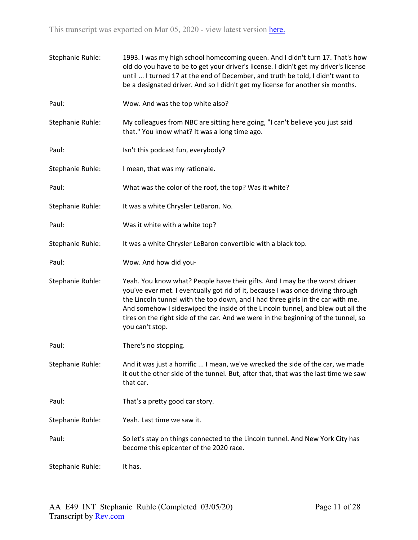| Stephanie Ruhle: | 1993. I was my high school homecoming queen. And I didn't turn 17. That's how<br>old do you have to be to get your driver's license. I didn't get my driver's license<br>until  I turned 17 at the end of December, and truth be told, I didn't want to<br>be a designated driver. And so I didn't get my license for another six months.                                                                                                     |
|------------------|-----------------------------------------------------------------------------------------------------------------------------------------------------------------------------------------------------------------------------------------------------------------------------------------------------------------------------------------------------------------------------------------------------------------------------------------------|
| Paul:            | Wow. And was the top white also?                                                                                                                                                                                                                                                                                                                                                                                                              |
| Stephanie Ruhle: | My colleagues from NBC are sitting here going, "I can't believe you just said<br>that." You know what? It was a long time ago.                                                                                                                                                                                                                                                                                                                |
| Paul:            | Isn't this podcast fun, everybody?                                                                                                                                                                                                                                                                                                                                                                                                            |
| Stephanie Ruhle: | I mean, that was my rationale.                                                                                                                                                                                                                                                                                                                                                                                                                |
| Paul:            | What was the color of the roof, the top? Was it white?                                                                                                                                                                                                                                                                                                                                                                                        |
| Stephanie Ruhle: | It was a white Chrysler LeBaron. No.                                                                                                                                                                                                                                                                                                                                                                                                          |
| Paul:            | Was it white with a white top?                                                                                                                                                                                                                                                                                                                                                                                                                |
| Stephanie Ruhle: | It was a white Chrysler LeBaron convertible with a black top.                                                                                                                                                                                                                                                                                                                                                                                 |
| Paul:            | Wow. And how did you-                                                                                                                                                                                                                                                                                                                                                                                                                         |
| Stephanie Ruhle: | Yeah. You know what? People have their gifts. And I may be the worst driver<br>you've ever met. I eventually got rid of it, because I was once driving through<br>the Lincoln tunnel with the top down, and I had three girls in the car with me.<br>And somehow I sideswiped the inside of the Lincoln tunnel, and blew out all the<br>tires on the right side of the car. And we were in the beginning of the tunnel, so<br>you can't stop. |
| Paul:            | There's no stopping.                                                                                                                                                                                                                                                                                                                                                                                                                          |
| Stephanie Ruhle: | And it was just a horrific  I mean, we've wrecked the side of the car, we made<br>it out the other side of the tunnel. But, after that, that was the last time we saw<br>that car.                                                                                                                                                                                                                                                            |
| Paul:            | That's a pretty good car story.                                                                                                                                                                                                                                                                                                                                                                                                               |
| Stephanie Ruhle: | Yeah. Last time we saw it.                                                                                                                                                                                                                                                                                                                                                                                                                    |
| Paul:            | So let's stay on things connected to the Lincoln tunnel. And New York City has<br>become this epicenter of the 2020 race.                                                                                                                                                                                                                                                                                                                     |
| Stephanie Ruhle: | It has.                                                                                                                                                                                                                                                                                                                                                                                                                                       |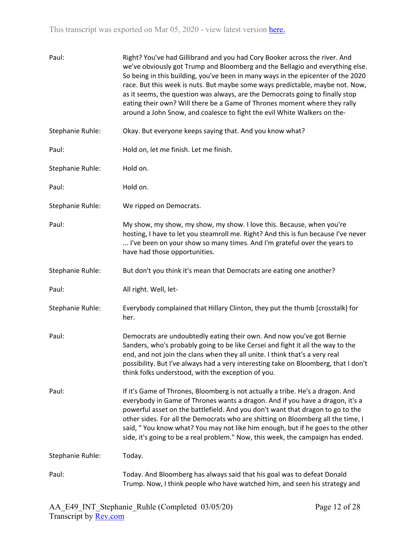| Paul:            | Right? You've had Gillibrand and you had Cory Booker across the river. And<br>we've obviously got Trump and Bloomberg and the Bellagio and everything else.<br>So being in this building, you've been in many ways in the epicenter of the 2020<br>race. But this week is nuts. But maybe some ways predictable, maybe not. Now,<br>as it seems, the question was always, are the Democrats going to finally stop<br>eating their own? Will there be a Game of Thrones moment where they rally<br>around a John Snow, and coalesce to fight the evil White Walkers on the- |
|------------------|----------------------------------------------------------------------------------------------------------------------------------------------------------------------------------------------------------------------------------------------------------------------------------------------------------------------------------------------------------------------------------------------------------------------------------------------------------------------------------------------------------------------------------------------------------------------------|
| Stephanie Ruhle: | Okay. But everyone keeps saying that. And you know what?                                                                                                                                                                                                                                                                                                                                                                                                                                                                                                                   |
| Paul:            | Hold on, let me finish. Let me finish.                                                                                                                                                                                                                                                                                                                                                                                                                                                                                                                                     |
| Stephanie Ruhle: | Hold on.                                                                                                                                                                                                                                                                                                                                                                                                                                                                                                                                                                   |
| Paul:            | Hold on.                                                                                                                                                                                                                                                                                                                                                                                                                                                                                                                                                                   |
| Stephanie Ruhle: | We ripped on Democrats.                                                                                                                                                                                                                                                                                                                                                                                                                                                                                                                                                    |
| Paul:            | My show, my show, my show, my show. I love this. Because, when you're<br>hosting, I have to let you steamroll me. Right? And this is fun because I've never<br>I've been on your show so many times. And I'm grateful over the years to<br>have had those opportunities.                                                                                                                                                                                                                                                                                                   |
| Stephanie Ruhle: | But don't you think it's mean that Democrats are eating one another?                                                                                                                                                                                                                                                                                                                                                                                                                                                                                                       |
| Paul:            | All right. Well, let-                                                                                                                                                                                                                                                                                                                                                                                                                                                                                                                                                      |
| Stephanie Ruhle: | Everybody complained that Hillary Clinton, they put the thumb [crosstalk] for<br>her.                                                                                                                                                                                                                                                                                                                                                                                                                                                                                      |
| Paul:            | Democrats are undoubtedly eating their own. And now you've got Bernie<br>Sanders, who's probably going to be like Cersei and fight it all the way to the<br>end, and not join the clans when they all unite. I think that's a very real<br>possibility. But I've always had a very interesting take on Bloomberg, that I don't<br>think folks understood, with the exception of you.                                                                                                                                                                                       |
| Paul:            | If it's Game of Thrones, Bloomberg is not actually a tribe. He's a dragon. And<br>everybody in Game of Thrones wants a dragon. And if you have a dragon, it's a<br>powerful asset on the battlefield. And you don't want that dragon to go to the<br>other sides. For all the Democrats who are shitting on Bloomberg all the time, I<br>said, "You know what? You may not like him enough, but if he goes to the other<br>side, it's going to be a real problem." Now, this week, the campaign has ended.                                                                 |
| Stephanie Ruhle: | Today.                                                                                                                                                                                                                                                                                                                                                                                                                                                                                                                                                                     |
| Paul:            | Today. And Bloomberg has always said that his goal was to defeat Donald<br>Trump. Now, I think people who have watched him, and seen his strategy and                                                                                                                                                                                                                                                                                                                                                                                                                      |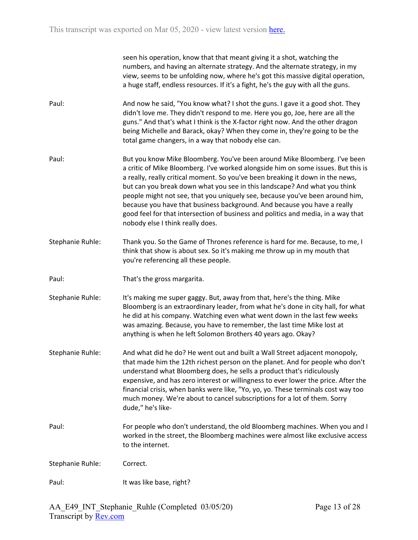|                  | seen his operation, know that that meant giving it a shot, watching the<br>numbers, and having an alternate strategy. And the alternate strategy, in my<br>view, seems to be unfolding now, where he's got this massive digital operation,<br>a huge staff, endless resources. If it's a fight, he's the guy with all the guns.                                                                                                                                                                                                                                                                                    |
|------------------|--------------------------------------------------------------------------------------------------------------------------------------------------------------------------------------------------------------------------------------------------------------------------------------------------------------------------------------------------------------------------------------------------------------------------------------------------------------------------------------------------------------------------------------------------------------------------------------------------------------------|
| Paul:            | And now he said, "You know what? I shot the guns. I gave it a good shot. They<br>didn't love me. They didn't respond to me. Here you go, Joe, here are all the<br>guns." And that's what I think is the X-factor right now. And the other dragon<br>being Michelle and Barack, okay? When they come in, they're going to be the<br>total game changers, in a way that nobody else can.                                                                                                                                                                                                                             |
| Paul:            | But you know Mike Bloomberg. You've been around Mike Bloomberg. I've been<br>a critic of Mike Bloomberg. I've worked alongside him on some issues. But this is<br>a really, really critical moment. So you've been breaking it down in the news,<br>but can you break down what you see in this landscape? And what you think<br>people might not see, that you uniquely see, because you've been around him,<br>because you have that business background. And because you have a really<br>good feel for that intersection of business and politics and media, in a way that<br>nobody else I think really does. |
| Stephanie Ruhle: | Thank you. So the Game of Thrones reference is hard for me. Because, to me, I<br>think that show is about sex. So it's making me throw up in my mouth that<br>you're referencing all these people.                                                                                                                                                                                                                                                                                                                                                                                                                 |
| Paul:            | That's the gross margarita.                                                                                                                                                                                                                                                                                                                                                                                                                                                                                                                                                                                        |
| Stephanie Ruhle: | It's making me super gaggy. But, away from that, here's the thing. Mike<br>Bloomberg is an extraordinary leader, from what he's done in city hall, for what<br>he did at his company. Watching even what went down in the last few weeks<br>was amazing. Because, you have to remember, the last time Mike lost at<br>anything is when he left Solomon Brothers 40 years ago. Okay?                                                                                                                                                                                                                                |
| Stephanie Ruhle: | And what did he do? He went out and built a Wall Street adjacent monopoly,<br>that made him the 12th richest person on the planet. And for people who don't<br>understand what Bloomberg does, he sells a product that's ridiculously<br>expensive, and has zero interest or willingness to ever lower the price. After the<br>financial crisis, when banks were like, "Yo, yo, yo. These terminals cost way too<br>much money. We're about to cancel subscriptions for a lot of them. Sorry<br>dude," he's like-                                                                                                  |
| Paul:            | For people who don't understand, the old Bloomberg machines. When you and I<br>worked in the street, the Bloomberg machines were almost like exclusive access<br>to the internet.                                                                                                                                                                                                                                                                                                                                                                                                                                  |
| Stephanie Ruhle: | Correct.                                                                                                                                                                                                                                                                                                                                                                                                                                                                                                                                                                                                           |
| Paul:            | It was like base, right?                                                                                                                                                                                                                                                                                                                                                                                                                                                                                                                                                                                           |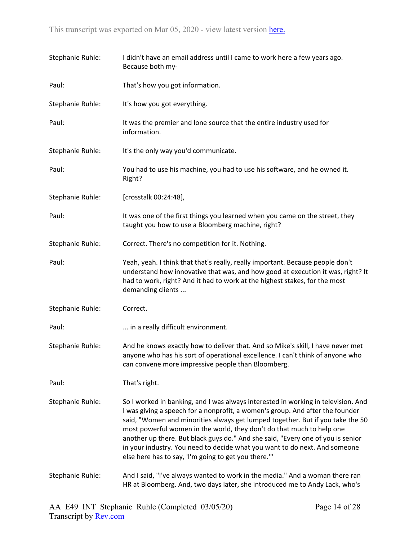| Stephanie Ruhle: | I didn't have an email address until I came to work here a few years ago.<br>Because both my-                                                                                                                                                                                                                                                                                                                                                                                                                                                          |
|------------------|--------------------------------------------------------------------------------------------------------------------------------------------------------------------------------------------------------------------------------------------------------------------------------------------------------------------------------------------------------------------------------------------------------------------------------------------------------------------------------------------------------------------------------------------------------|
| Paul:            | That's how you got information.                                                                                                                                                                                                                                                                                                                                                                                                                                                                                                                        |
| Stephanie Ruhle: | It's how you got everything.                                                                                                                                                                                                                                                                                                                                                                                                                                                                                                                           |
| Paul:            | It was the premier and lone source that the entire industry used for<br>information.                                                                                                                                                                                                                                                                                                                                                                                                                                                                   |
| Stephanie Ruhle: | It's the only way you'd communicate.                                                                                                                                                                                                                                                                                                                                                                                                                                                                                                                   |
| Paul:            | You had to use his machine, you had to use his software, and he owned it.<br>Right?                                                                                                                                                                                                                                                                                                                                                                                                                                                                    |
| Stephanie Ruhle: | [crosstalk 00:24:48],                                                                                                                                                                                                                                                                                                                                                                                                                                                                                                                                  |
| Paul:            | It was one of the first things you learned when you came on the street, they<br>taught you how to use a Bloomberg machine, right?                                                                                                                                                                                                                                                                                                                                                                                                                      |
| Stephanie Ruhle: | Correct. There's no competition for it. Nothing.                                                                                                                                                                                                                                                                                                                                                                                                                                                                                                       |
| Paul:            | Yeah, yeah. I think that that's really, really important. Because people don't<br>understand how innovative that was, and how good at execution it was, right? It<br>had to work, right? And it had to work at the highest stakes, for the most<br>demanding clients                                                                                                                                                                                                                                                                                   |
| Stephanie Ruhle: | Correct.                                                                                                                                                                                                                                                                                                                                                                                                                                                                                                                                               |
| Paul:            | in a really difficult environment.                                                                                                                                                                                                                                                                                                                                                                                                                                                                                                                     |
| Stephanie Ruhle: | And he knows exactly how to deliver that. And so Mike's skill, I have never met<br>anyone who has his sort of operational excellence. I can't think of anyone who<br>can convene more impressive people than Bloomberg.                                                                                                                                                                                                                                                                                                                                |
| Paul:            | That's right.                                                                                                                                                                                                                                                                                                                                                                                                                                                                                                                                          |
| Stephanie Ruhle: | So I worked in banking, and I was always interested in working in television. And<br>I was giving a speech for a nonprofit, a women's group. And after the founder<br>said, "Women and minorities always get lumped together. But if you take the 50<br>most powerful women in the world, they don't do that much to help one<br>another up there. But black guys do." And she said, "Every one of you is senior<br>in your industry. You need to decide what you want to do next. And someone<br>else here has to say, 'I'm going to get you there.'" |
| Stephanie Ruhle: | And I said, "I've always wanted to work in the media." And a woman there ran<br>HR at Bloomberg. And, two days later, she introduced me to Andy Lack, who's                                                                                                                                                                                                                                                                                                                                                                                            |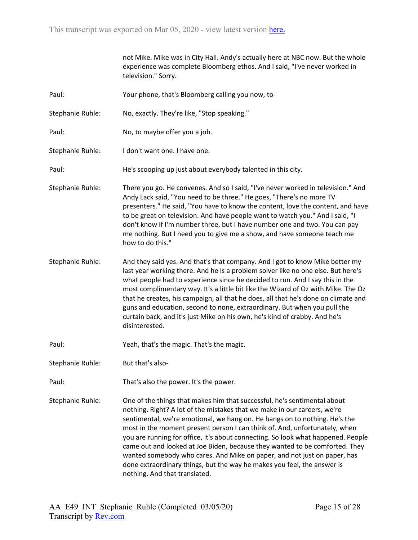|                  | not Mike. Mike was in City Hall. Andy's actually here at NBC now. But the whole<br>experience was complete Bloomberg ethos. And I said, "I've never worked in<br>television." Sorry.                                                                                                                                                                                                                                                                                                                                                                                                                                                                                        |
|------------------|-----------------------------------------------------------------------------------------------------------------------------------------------------------------------------------------------------------------------------------------------------------------------------------------------------------------------------------------------------------------------------------------------------------------------------------------------------------------------------------------------------------------------------------------------------------------------------------------------------------------------------------------------------------------------------|
| Paul:            | Your phone, that's Bloomberg calling you now, to-                                                                                                                                                                                                                                                                                                                                                                                                                                                                                                                                                                                                                           |
| Stephanie Ruhle: | No, exactly. They're like, "Stop speaking."                                                                                                                                                                                                                                                                                                                                                                                                                                                                                                                                                                                                                                 |
| Paul:            | No, to maybe offer you a job.                                                                                                                                                                                                                                                                                                                                                                                                                                                                                                                                                                                                                                               |
| Stephanie Ruhle: | I don't want one. I have one.                                                                                                                                                                                                                                                                                                                                                                                                                                                                                                                                                                                                                                               |
| Paul:            | He's scooping up just about everybody talented in this city.                                                                                                                                                                                                                                                                                                                                                                                                                                                                                                                                                                                                                |
| Stephanie Ruhle: | There you go. He convenes. And so I said, "I've never worked in television." And<br>Andy Lack said, "You need to be three." He goes, "There's no more TV<br>presenters." He said, "You have to know the content, love the content, and have<br>to be great on television. And have people want to watch you." And I said, "I<br>don't know if I'm number three, but I have number one and two. You can pay<br>me nothing. But I need you to give me a show, and have someone teach me<br>how to do this."                                                                                                                                                                   |
| Stephanie Ruhle: | And they said yes. And that's that company. And I got to know Mike better my<br>last year working there. And he is a problem solver like no one else. But here's<br>what people had to experience since he decided to run. And I say this in the<br>most complimentary way. It's a little bit like the Wizard of Oz with Mike. The Oz<br>that he creates, his campaign, all that he does, all that he's done on climate and<br>guns and education, second to none, extraordinary. But when you pull the<br>curtain back, and it's just Mike on his own, he's kind of crabby. And he's<br>disinterested.                                                                     |
| Paul:            | Yeah, that's the magic. That's the magic.                                                                                                                                                                                                                                                                                                                                                                                                                                                                                                                                                                                                                                   |
| Stephanie Ruhle: | But that's also-                                                                                                                                                                                                                                                                                                                                                                                                                                                                                                                                                                                                                                                            |
| Paul:            | That's also the power. It's the power.                                                                                                                                                                                                                                                                                                                                                                                                                                                                                                                                                                                                                                      |
| Stephanie Ruhle: | One of the things that makes him that successful, he's sentimental about<br>nothing. Right? A lot of the mistakes that we make in our careers, we're<br>sentimental, we're emotional, we hang on. He hangs on to nothing. He's the<br>most in the moment present person I can think of. And, unfortunately, when<br>you are running for office, it's about connecting. So look what happened. People<br>came out and looked at Joe Biden, because they wanted to be comforted. They<br>wanted somebody who cares. And Mike on paper, and not just on paper, has<br>done extraordinary things, but the way he makes you feel, the answer is<br>nothing. And that translated. |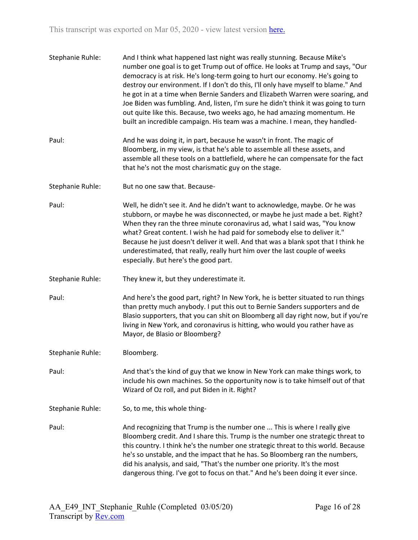| Stephanie Ruhle: | And I think what happened last night was really stunning. Because Mike's<br>number one goal is to get Trump out of office. He looks at Trump and says, "Our<br>democracy is at risk. He's long-term going to hurt our economy. He's going to<br>destroy our environment. If I don't do this, I'll only have myself to blame." And<br>he got in at a time when Bernie Sanders and Elizabeth Warren were soaring, and<br>Joe Biden was fumbling. And, listen, I'm sure he didn't think it was going to turn<br>out quite like this. Because, two weeks ago, he had amazing momentum. He<br>built an incredible campaign. His team was a machine. I mean, they handled- |
|------------------|----------------------------------------------------------------------------------------------------------------------------------------------------------------------------------------------------------------------------------------------------------------------------------------------------------------------------------------------------------------------------------------------------------------------------------------------------------------------------------------------------------------------------------------------------------------------------------------------------------------------------------------------------------------------|
| Paul:            | And he was doing it, in part, because he wasn't in front. The magic of<br>Bloomberg, in my view, is that he's able to assemble all these assets, and<br>assemble all these tools on a battlefield, where he can compensate for the fact<br>that he's not the most charismatic guy on the stage.                                                                                                                                                                                                                                                                                                                                                                      |
| Stephanie Ruhle: | But no one saw that. Because-                                                                                                                                                                                                                                                                                                                                                                                                                                                                                                                                                                                                                                        |
| Paul:            | Well, he didn't see it. And he didn't want to acknowledge, maybe. Or he was<br>stubborn, or maybe he was disconnected, or maybe he just made a bet. Right?<br>When they ran the three minute coronavirus ad, what I said was, "You know<br>what? Great content. I wish he had paid for somebody else to deliver it."<br>Because he just doesn't deliver it well. And that was a blank spot that I think he<br>underestimated, that really, really hurt him over the last couple of weeks<br>especially. But here's the good part.                                                                                                                                    |
| Stephanie Ruhle: | They knew it, but they underestimate it.                                                                                                                                                                                                                                                                                                                                                                                                                                                                                                                                                                                                                             |
| Paul:            | And here's the good part, right? In New York, he is better situated to run things<br>than pretty much anybody. I put this out to Bernie Sanders supporters and de<br>Blasio supporters, that you can shit on Bloomberg all day right now, but if you're<br>living in New York, and coronavirus is hitting, who would you rather have as<br>Mayor, de Blasio or Bloomberg?                                                                                                                                                                                                                                                                                            |
| Stephanie Ruhle: | Bloomberg.                                                                                                                                                                                                                                                                                                                                                                                                                                                                                                                                                                                                                                                           |
| Paul:            | And that's the kind of guy that we know in New York can make things work, to<br>include his own machines. So the opportunity now is to take himself out of that<br>Wizard of Oz roll, and put Biden in it. Right?                                                                                                                                                                                                                                                                                                                                                                                                                                                    |
| Stephanie Ruhle: | So, to me, this whole thing-                                                                                                                                                                                                                                                                                                                                                                                                                                                                                                                                                                                                                                         |
| Paul:            | And recognizing that Trump is the number one  This is where I really give<br>Bloomberg credit. And I share this. Trump is the number one strategic threat to<br>this country. I think he's the number one strategic threat to this world. Because<br>he's so unstable, and the impact that he has. So Bloomberg ran the numbers,<br>did his analysis, and said, "That's the number one priority. It's the most<br>dangerous thing. I've got to focus on that." And he's been doing it ever since.                                                                                                                                                                    |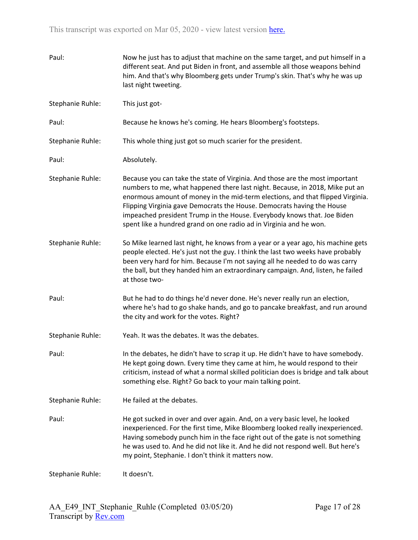| Paul:            | Now he just has to adjust that machine on the same target, and put himself in a<br>different seat. And put Biden in front, and assemble all those weapons behind<br>him. And that's why Bloomberg gets under Trump's skin. That's why he was up<br>last night tweeting.                                                                                                                                                                                                   |
|------------------|---------------------------------------------------------------------------------------------------------------------------------------------------------------------------------------------------------------------------------------------------------------------------------------------------------------------------------------------------------------------------------------------------------------------------------------------------------------------------|
| Stephanie Ruhle: | This just got-                                                                                                                                                                                                                                                                                                                                                                                                                                                            |
| Paul:            | Because he knows he's coming. He hears Bloomberg's footsteps.                                                                                                                                                                                                                                                                                                                                                                                                             |
| Stephanie Ruhle: | This whole thing just got so much scarier for the president.                                                                                                                                                                                                                                                                                                                                                                                                              |
| Paul:            | Absolutely.                                                                                                                                                                                                                                                                                                                                                                                                                                                               |
| Stephanie Ruhle: | Because you can take the state of Virginia. And those are the most important<br>numbers to me, what happened there last night. Because, in 2018, Mike put an<br>enormous amount of money in the mid-term elections, and that flipped Virginia.<br>Flipping Virginia gave Democrats the House. Democrats having the House<br>impeached president Trump in the House. Everybody knows that. Joe Biden<br>spent like a hundred grand on one radio ad in Virginia and he won. |
| Stephanie Ruhle: | So Mike learned last night, he knows from a year or a year ago, his machine gets<br>people elected. He's just not the guy. I think the last two weeks have probably<br>been very hard for him. Because I'm not saying all he needed to do was carry<br>the ball, but they handed him an extraordinary campaign. And, listen, he failed<br>at those two-                                                                                                                   |
| Paul:            | But he had to do things he'd never done. He's never really run an election,<br>where he's had to go shake hands, and go to pancake breakfast, and run around<br>the city and work for the votes. Right?                                                                                                                                                                                                                                                                   |
| Stephanie Ruhle: | Yeah. It was the debates. It was the debates.                                                                                                                                                                                                                                                                                                                                                                                                                             |
| Paul:            | In the debates, he didn't have to scrap it up. He didn't have to have somebody.<br>He kept going down. Every time they came at him, he would respond to their<br>criticism, instead of what a normal skilled politician does is bridge and talk about<br>something else. Right? Go back to your main talking point.                                                                                                                                                       |
| Stephanie Ruhle: | He failed at the debates.                                                                                                                                                                                                                                                                                                                                                                                                                                                 |
| Paul:            | He got sucked in over and over again. And, on a very basic level, he looked<br>inexperienced. For the first time, Mike Bloomberg looked really inexperienced.<br>Having somebody punch him in the face right out of the gate is not something<br>he was used to. And he did not like it. And he did not respond well. But here's<br>my point, Stephanie. I don't think it matters now.                                                                                    |
| Stephanie Ruhle: | It doesn't.                                                                                                                                                                                                                                                                                                                                                                                                                                                               |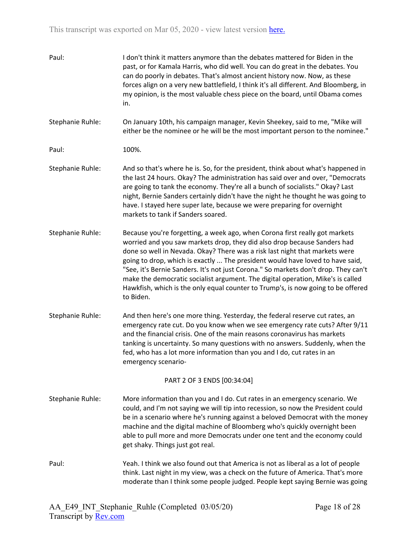| Paul:            | I don't think it matters anymore than the debates mattered for Biden in the<br>past, or for Kamala Harris, who did well. You can do great in the debates. You<br>can do poorly in debates. That's almost ancient history now. Now, as these<br>forces align on a very new battlefield, I think it's all different. And Bloomberg, in<br>my opinion, is the most valuable chess piece on the board, until Obama comes<br>in.                                                                                                                                                                        |
|------------------|----------------------------------------------------------------------------------------------------------------------------------------------------------------------------------------------------------------------------------------------------------------------------------------------------------------------------------------------------------------------------------------------------------------------------------------------------------------------------------------------------------------------------------------------------------------------------------------------------|
| Stephanie Ruhle: | On January 10th, his campaign manager, Kevin Sheekey, said to me, "Mike will<br>either be the nominee or he will be the most important person to the nominee."                                                                                                                                                                                                                                                                                                                                                                                                                                     |
| Paul:            | 100%.                                                                                                                                                                                                                                                                                                                                                                                                                                                                                                                                                                                              |
| Stephanie Ruhle: | And so that's where he is. So, for the president, think about what's happened in<br>the last 24 hours. Okay? The administration has said over and over, "Democrats<br>are going to tank the economy. They're all a bunch of socialists." Okay? Last<br>night, Bernie Sanders certainly didn't have the night he thought he was going to<br>have. I stayed here super late, because we were preparing for overnight<br>markets to tank if Sanders soared.                                                                                                                                           |
| Stephanie Ruhle: | Because you're forgetting, a week ago, when Corona first really got markets<br>worried and you saw markets drop, they did also drop because Sanders had<br>done so well in Nevada. Okay? There was a risk last night that markets were<br>going to drop, which is exactly  The president would have loved to have said,<br>"See, it's Bernie Sanders. It's not just Corona." So markets don't drop. They can't<br>make the democratic socialist argument. The digital operation, Mike's is called<br>Hawkfish, which is the only equal counter to Trump's, is now going to be offered<br>to Biden. |
| Stephanie Ruhle: | And then here's one more thing. Yesterday, the federal reserve cut rates, an<br>emergency rate cut. Do you know when we see emergency rate cuts? After 9/11<br>and the financial crisis. One of the main reasons coronavirus has markets<br>tanking is uncertainty. So many questions with no answers. Suddenly, when the<br>fed, who has a lot more information than you and I do, cut rates in an<br>emergency scenario-                                                                                                                                                                         |
|                  | PART 2 OF 3 ENDS [00:34:04]                                                                                                                                                                                                                                                                                                                                                                                                                                                                                                                                                                        |
| Stephanie Ruhle: | More information than you and I do. Cut rates in an emergency scenario. We<br>could, and I'm not saying we will tip into recession, so now the President could<br>be in a scenario where he's running against a beloved Democrat with the money<br>machine and the digital machine of Bloomberg who's quickly overnight been<br>able to pull more and more Democrats under one tent and the economy could<br>get shaky. Things just got real.                                                                                                                                                      |
| Paul:            | Yeah. I think we also found out that America is not as liberal as a lot of people<br>think. Last night in my view, was a check on the future of America. That's more<br>moderate than I think some people judged. People kept saying Bernie was going                                                                                                                                                                                                                                                                                                                                              |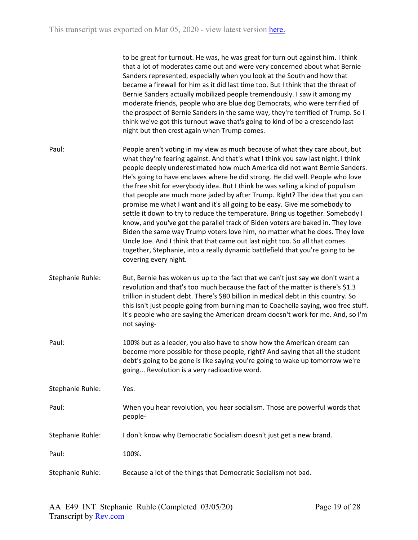to be great for turnout. He was, he was great for turn out against him. I think that a lot of moderates came out and were very concerned about what Bernie Sanders represented, especially when you look at the South and how that became a firewall for him as it did last time too. But I think that the threat of Bernie Sanders actually mobilized people tremendously. I saw it among my moderate friends, people who are blue dog Democrats, who were terrified of the prospect of Bernie Sanders in the same way, they're terrified of Trump. So I think we've got this turnout wave that's going to kind of be a crescendo last night but then crest again when Trump comes.

- Paul: People aren't voting in my view as much because of what they care about, but what they're fearing against. And that's what I think you saw last night. I think people deeply underestimated how much America did not want Bernie Sanders. He's going to have enclaves where he did strong. He did well. People who love the free shit for everybody idea. But I think he was selling a kind of populism that people are much more jaded by after Trump. Right? The idea that you can promise me what I want and it's all going to be easy. Give me somebody to settle it down to try to reduce the temperature. Bring us together. Somebody I know, and you've got the parallel track of Biden voters are baked in. They love Biden the same way Trump voters love him, no matter what he does. They love Uncle Joe. And I think that that came out last night too. So all that comes together, Stephanie, into a really dynamic battlefield that you're going to be covering every night.
- Stephanie Ruhle: But, Bernie has woken us up to the fact that we can't just say we don't want a revolution and that's too much because the fact of the matter is there's \$1.3 trillion in student debt. There's \$80 billion in medical debt in this country. So this isn't just people going from burning man to Coachella saying, woo free stuff. It's people who are saying the American dream doesn't work for me. And, so I'm not saying-
- Paul: 100% but as a leader, you also have to show how the American dream can become more possible for those people, right? And saying that all the student debt's going to be gone is like saying you're going to wake up tomorrow we're going... Revolution is a very radioactive word.

Stephanie Ruhle: Yes. Paul: When you hear revolution, you hear socialism. Those are powerful words that people-Stephanie Ruhle: I don't know why Democratic Socialism doesn't just get a new brand. Paul: 100%.

Stephanie Ruhle: Because a lot of the things that Democratic Socialism not bad.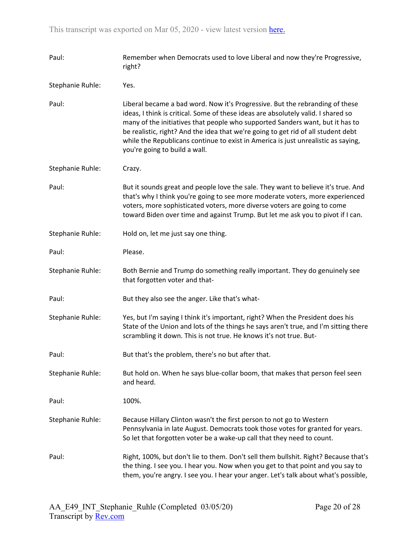| Paul:            | Remember when Democrats used to love Liberal and now they're Progressive,<br>right?                                                                                                                                                                                                                                                                                                                                                                           |
|------------------|---------------------------------------------------------------------------------------------------------------------------------------------------------------------------------------------------------------------------------------------------------------------------------------------------------------------------------------------------------------------------------------------------------------------------------------------------------------|
| Stephanie Ruhle: | Yes.                                                                                                                                                                                                                                                                                                                                                                                                                                                          |
| Paul:            | Liberal became a bad word. Now it's Progressive. But the rebranding of these<br>ideas, I think is critical. Some of these ideas are absolutely valid. I shared so<br>many of the initiatives that people who supported Sanders want, but it has to<br>be realistic, right? And the idea that we're going to get rid of all student debt<br>while the Republicans continue to exist in America is just unrealistic as saying,<br>you're going to build a wall. |
| Stephanie Ruhle: | Crazy.                                                                                                                                                                                                                                                                                                                                                                                                                                                        |
| Paul:            | But it sounds great and people love the sale. They want to believe it's true. And<br>that's why I think you're going to see more moderate voters, more experienced<br>voters, more sophisticated voters, more diverse voters are going to come<br>toward Biden over time and against Trump. But let me ask you to pivot if I can.                                                                                                                             |
| Stephanie Ruhle: | Hold on, let me just say one thing.                                                                                                                                                                                                                                                                                                                                                                                                                           |
| Paul:            | Please.                                                                                                                                                                                                                                                                                                                                                                                                                                                       |
| Stephanie Ruhle: | Both Bernie and Trump do something really important. They do genuinely see<br>that forgotten voter and that-                                                                                                                                                                                                                                                                                                                                                  |
| Paul:            | But they also see the anger. Like that's what-                                                                                                                                                                                                                                                                                                                                                                                                                |
| Stephanie Ruhle: | Yes, but I'm saying I think it's important, right? When the President does his<br>State of the Union and lots of the things he says aren't true, and I'm sitting there<br>scrambling it down. This is not true. He knows it's not true. But-                                                                                                                                                                                                                  |
| Paul:            | But that's the problem, there's no but after that.                                                                                                                                                                                                                                                                                                                                                                                                            |
| Stephanie Ruhle: | But hold on. When he says blue-collar boom, that makes that person feel seen<br>and heard.                                                                                                                                                                                                                                                                                                                                                                    |
| Paul:            | 100%.                                                                                                                                                                                                                                                                                                                                                                                                                                                         |
| Stephanie Ruhle: | Because Hillary Clinton wasn't the first person to not go to Western<br>Pennsylvania in late August. Democrats took those votes for granted for years.<br>So let that forgotten voter be a wake-up call that they need to count.                                                                                                                                                                                                                              |
| Paul:            | Right, 100%, but don't lie to them. Don't sell them bullshit. Right? Because that's<br>the thing. I see you. I hear you. Now when you get to that point and you say to<br>them, you're angry. I see you. I hear your anger. Let's talk about what's possible,                                                                                                                                                                                                 |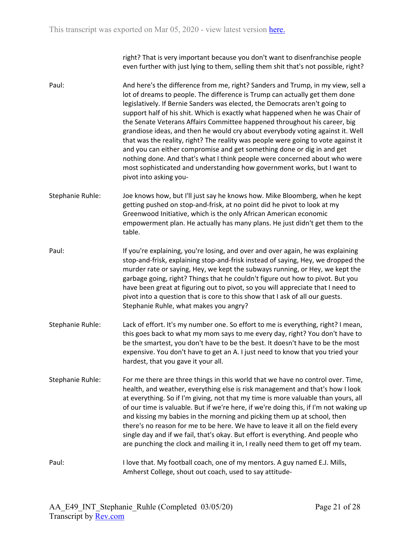right? That is very important because you don't want to disenfranchise people even further with just lying to them, selling them shit that's not possible, right?

- Paul: And here's the difference from me, right? Sanders and Trump, in my view, sell a lot of dreams to people. The difference is Trump can actually get them done legislatively. If Bernie Sanders was elected, the Democrats aren't going to support half of his shit. Which is exactly what happened when he was Chair of the Senate Veterans Affairs Committee happened throughout his career, big grandiose ideas, and then he would cry about everybody voting against it. Well that was the reality, right? The reality was people were going to vote against it and you can either compromise and get something done or dig in and get nothing done. And that's what I think people were concerned about who were most sophisticated and understanding how government works, but I want to pivot into asking you-
- Stephanie Ruhle: Joe knows how, but I'll just say he knows how. Mike Bloomberg, when he kept getting pushed on stop-and-frisk, at no point did he pivot to look at my Greenwood Initiative, which is the only African American economic empowerment plan. He actually has many plans. He just didn't get them to the table.
- Paul: If you're explaining, you're losing, and over and over again, he was explaining stop-and-frisk, explaining stop-and-frisk instead of saying, Hey, we dropped the murder rate or saying, Hey, we kept the subways running, or Hey, we kept the garbage going, right? Things that he couldn't figure out how to pivot. But you have been great at figuring out to pivot, so you will appreciate that I need to pivot into a question that is core to this show that I ask of all our guests. Stephanie Ruhle, what makes you angry?
- Stephanie Ruhle: Lack of effort. It's my number one. So effort to me is everything, right? I mean, this goes back to what my mom says to me every day, right? You don't have to be the smartest, you don't have to be the best. It doesn't have to be the most expensive. You don't have to get an A. I just need to know that you tried your hardest, that you gave it your all.
- Stephanie Ruhle: For me there are three things in this world that we have no control over. Time, health, and weather, everything else is risk management and that's how I look at everything. So if I'm giving, not that my time is more valuable than yours, all of our time is valuable. But if we're here, if we're doing this, if I'm not waking up and kissing my babies in the morning and picking them up at school, then there's no reason for me to be here. We have to leave it all on the field every single day and if we fail, that's okay. But effort is everything. And people who are punching the clock and mailing it in, I really need them to get off my team.
- Paul: I love that. My football coach, one of my mentors. A guy named E.J. Mills, Amherst College, shout out coach, used to say attitude-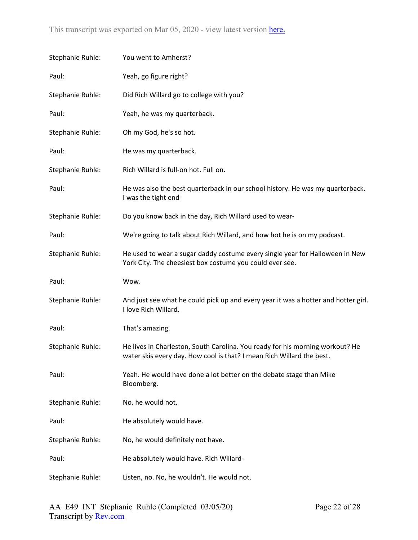| Stephanie Ruhle: | You went to Amherst?                                                                                                                                   |
|------------------|--------------------------------------------------------------------------------------------------------------------------------------------------------|
| Paul:            | Yeah, go figure right?                                                                                                                                 |
| Stephanie Ruhle: | Did Rich Willard go to college with you?                                                                                                               |
| Paul:            | Yeah, he was my quarterback.                                                                                                                           |
| Stephanie Ruhle: | Oh my God, he's so hot.                                                                                                                                |
| Paul:            | He was my quarterback.                                                                                                                                 |
| Stephanie Ruhle: | Rich Willard is full-on hot. Full on.                                                                                                                  |
| Paul:            | He was also the best quarterback in our school history. He was my quarterback.<br>I was the tight end-                                                 |
| Stephanie Ruhle: | Do you know back in the day, Rich Willard used to wear-                                                                                                |
| Paul:            | We're going to talk about Rich Willard, and how hot he is on my podcast.                                                                               |
| Stephanie Ruhle: | He used to wear a sugar daddy costume every single year for Halloween in New<br>York City. The cheesiest box costume you could ever see.               |
| Paul:            | Wow.                                                                                                                                                   |
| Stephanie Ruhle: | And just see what he could pick up and every year it was a hotter and hotter girl.<br>I love Rich Willard.                                             |
| Paul:            | That's amazing.                                                                                                                                        |
| Stephanie Ruhle: | He lives in Charleston, South Carolina. You ready for his morning workout? He<br>water skis every day. How cool is that? I mean Rich Willard the best. |
| Paul:            | Yeah. He would have done a lot better on the debate stage than Mike<br>Bloomberg.                                                                      |
| Stephanie Ruhle: | No, he would not.                                                                                                                                      |
| Paul:            | He absolutely would have.                                                                                                                              |
| Stephanie Ruhle: | No, he would definitely not have.                                                                                                                      |
| Paul:            | He absolutely would have. Rich Willard-                                                                                                                |
| Stephanie Ruhle: | Listen, no. No, he wouldn't. He would not.                                                                                                             |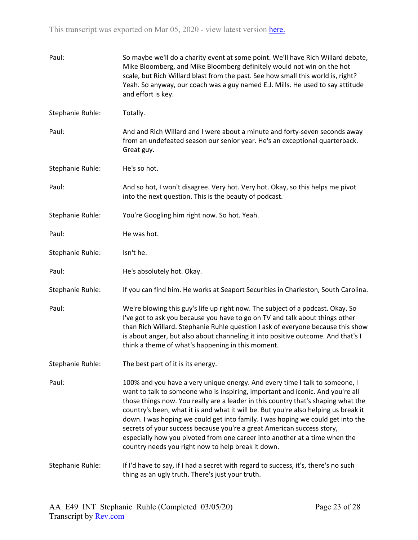| Paul:            | So maybe we'll do a charity event at some point. We'll have Rich Willard debate,<br>Mike Bloomberg, and Mike Bloomberg definitely would not win on the hot<br>scale, but Rich Willard blast from the past. See how small this world is, right?<br>Yeah. So anyway, our coach was a guy named E.J. Mills. He used to say attitude<br>and effort is key.                                                                                                                                                                                                                                                                                     |
|------------------|--------------------------------------------------------------------------------------------------------------------------------------------------------------------------------------------------------------------------------------------------------------------------------------------------------------------------------------------------------------------------------------------------------------------------------------------------------------------------------------------------------------------------------------------------------------------------------------------------------------------------------------------|
| Stephanie Ruhle: | Totally.                                                                                                                                                                                                                                                                                                                                                                                                                                                                                                                                                                                                                                   |
| Paul:            | And and Rich Willard and I were about a minute and forty-seven seconds away<br>from an undefeated season our senior year. He's an exceptional quarterback.<br>Great guy.                                                                                                                                                                                                                                                                                                                                                                                                                                                                   |
| Stephanie Ruhle: | He's so hot.                                                                                                                                                                                                                                                                                                                                                                                                                                                                                                                                                                                                                               |
| Paul:            | And so hot, I won't disagree. Very hot. Very hot. Okay, so this helps me pivot<br>into the next question. This is the beauty of podcast.                                                                                                                                                                                                                                                                                                                                                                                                                                                                                                   |
| Stephanie Ruhle: | You're Googling him right now. So hot. Yeah.                                                                                                                                                                                                                                                                                                                                                                                                                                                                                                                                                                                               |
| Paul:            | He was hot.                                                                                                                                                                                                                                                                                                                                                                                                                                                                                                                                                                                                                                |
| Stephanie Ruhle: | Isn't he.                                                                                                                                                                                                                                                                                                                                                                                                                                                                                                                                                                                                                                  |
| Paul:            | He's absolutely hot. Okay.                                                                                                                                                                                                                                                                                                                                                                                                                                                                                                                                                                                                                 |
| Stephanie Ruhle: | If you can find him. He works at Seaport Securities in Charleston, South Carolina.                                                                                                                                                                                                                                                                                                                                                                                                                                                                                                                                                         |
| Paul:            | We're blowing this guy's life up right now. The subject of a podcast. Okay. So<br>I've got to ask you because you have to go on TV and talk about things other<br>than Rich Willard. Stephanie Ruhle question I ask of everyone because this show<br>is about anger, but also about channeling it into positive outcome. And that's I<br>think a theme of what's happening in this moment.                                                                                                                                                                                                                                                 |
| Stephanie Ruhle: | The best part of it is its energy.                                                                                                                                                                                                                                                                                                                                                                                                                                                                                                                                                                                                         |
| Paul:            | 100% and you have a very unique energy. And every time I talk to someone, I<br>want to talk to someone who is inspiring, important and iconic. And you're all<br>those things now. You really are a leader in this country that's shaping what the<br>country's been, what it is and what it will be. But you're also helping us break it<br>down. I was hoping we could get into family. I was hoping we could get into the<br>secrets of your success because you're a great American success story,<br>especially how you pivoted from one career into another at a time when the<br>country needs you right now to help break it down. |
| Stephanie Ruhle: | If I'd have to say, if I had a secret with regard to success, it's, there's no such<br>thing as an ugly truth. There's just your truth.                                                                                                                                                                                                                                                                                                                                                                                                                                                                                                    |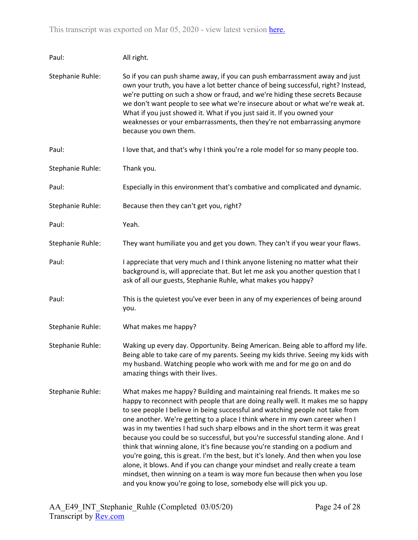| Paul:            | All right.                                                                                                                                                                                                                                                                                                                                                                                                                                                                                                                                                                                                                                                                                                                                                                                                                                                                                                 |
|------------------|------------------------------------------------------------------------------------------------------------------------------------------------------------------------------------------------------------------------------------------------------------------------------------------------------------------------------------------------------------------------------------------------------------------------------------------------------------------------------------------------------------------------------------------------------------------------------------------------------------------------------------------------------------------------------------------------------------------------------------------------------------------------------------------------------------------------------------------------------------------------------------------------------------|
| Stephanie Ruhle: | So if you can push shame away, if you can push embarrassment away and just<br>own your truth, you have a lot better chance of being successful, right? Instead,<br>we're putting on such a show or fraud, and we're hiding these secrets Because<br>we don't want people to see what we're insecure about or what we're weak at.<br>What if you just showed it. What if you just said it. If you owned your<br>weaknesses or your embarrassments, then they're not embarrassing anymore<br>because you own them.                                                                                                                                                                                                                                                                                                                                                                                           |
| Paul:            | I love that, and that's why I think you're a role model for so many people too.                                                                                                                                                                                                                                                                                                                                                                                                                                                                                                                                                                                                                                                                                                                                                                                                                            |
| Stephanie Ruhle: | Thank you.                                                                                                                                                                                                                                                                                                                                                                                                                                                                                                                                                                                                                                                                                                                                                                                                                                                                                                 |
| Paul:            | Especially in this environment that's combative and complicated and dynamic.                                                                                                                                                                                                                                                                                                                                                                                                                                                                                                                                                                                                                                                                                                                                                                                                                               |
| Stephanie Ruhle: | Because then they can't get you, right?                                                                                                                                                                                                                                                                                                                                                                                                                                                                                                                                                                                                                                                                                                                                                                                                                                                                    |
| Paul:            | Yeah.                                                                                                                                                                                                                                                                                                                                                                                                                                                                                                                                                                                                                                                                                                                                                                                                                                                                                                      |
| Stephanie Ruhle: | They want humiliate you and get you down. They can't if you wear your flaws.                                                                                                                                                                                                                                                                                                                                                                                                                                                                                                                                                                                                                                                                                                                                                                                                                               |
| Paul:            | I appreciate that very much and I think anyone listening no matter what their<br>background is, will appreciate that. But let me ask you another question that I<br>ask of all our guests, Stephanie Ruhle, what makes you happy?                                                                                                                                                                                                                                                                                                                                                                                                                                                                                                                                                                                                                                                                          |
| Paul:            | This is the quietest you've ever been in any of my experiences of being around<br>you.                                                                                                                                                                                                                                                                                                                                                                                                                                                                                                                                                                                                                                                                                                                                                                                                                     |
| Stephanie Ruhle: | What makes me happy?                                                                                                                                                                                                                                                                                                                                                                                                                                                                                                                                                                                                                                                                                                                                                                                                                                                                                       |
| Stephanie Ruhle: | Waking up every day. Opportunity. Being American. Being able to afford my life.<br>Being able to take care of my parents. Seeing my kids thrive. Seeing my kids with<br>my husband. Watching people who work with me and for me go on and do<br>amazing things with their lives.                                                                                                                                                                                                                                                                                                                                                                                                                                                                                                                                                                                                                           |
| Stephanie Ruhle: | What makes me happy? Building and maintaining real friends. It makes me so<br>happy to reconnect with people that are doing really well. It makes me so happy<br>to see people I believe in being successful and watching people not take from<br>one another. We're getting to a place I think where in my own career when I<br>was in my twenties I had such sharp elbows and in the short term it was great<br>because you could be so successful, but you're successful standing alone. And I<br>think that winning alone, it's fine because you're standing on a podium and<br>you're going, this is great. I'm the best, but it's lonely. And then when you lose<br>alone, it blows. And if you can change your mindset and really create a team<br>mindset, then winning on a team is way more fun because then when you lose<br>and you know you're going to lose, somebody else will pick you up. |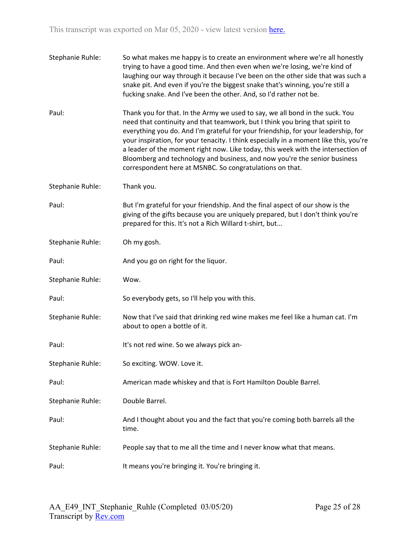| Stephanie Ruhle: | So what makes me happy is to create an environment where we're all honestly<br>trying to have a good time. And then even when we're losing, we're kind of<br>laughing our way through it because I've been on the other side that was such a<br>snake pit. And even if you're the biggest snake that's winning, you're still a<br>fucking snake. And I've been the other. And, so I'd rather not be.                                                                                                                                                                    |
|------------------|-------------------------------------------------------------------------------------------------------------------------------------------------------------------------------------------------------------------------------------------------------------------------------------------------------------------------------------------------------------------------------------------------------------------------------------------------------------------------------------------------------------------------------------------------------------------------|
| Paul:            | Thank you for that. In the Army we used to say, we all bond in the suck. You<br>need that continuity and that teamwork, but I think you bring that spirit to<br>everything you do. And I'm grateful for your friendship, for your leadership, for<br>your inspiration, for your tenacity. I think especially in a moment like this, you're<br>a leader of the moment right now. Like today, this week with the intersection of<br>Bloomberg and technology and business, and now you're the senior business<br>correspondent here at MSNBC. So congratulations on that. |
| Stephanie Ruhle: | Thank you.                                                                                                                                                                                                                                                                                                                                                                                                                                                                                                                                                              |
| Paul:            | But I'm grateful for your friendship. And the final aspect of our show is the<br>giving of the gifts because you are uniquely prepared, but I don't think you're<br>prepared for this. It's not a Rich Willard t-shirt, but                                                                                                                                                                                                                                                                                                                                             |
| Stephanie Ruhle: | Oh my gosh.                                                                                                                                                                                                                                                                                                                                                                                                                                                                                                                                                             |
| Paul:            | And you go on right for the liquor.                                                                                                                                                                                                                                                                                                                                                                                                                                                                                                                                     |
| Stephanie Ruhle: | Wow.                                                                                                                                                                                                                                                                                                                                                                                                                                                                                                                                                                    |
| Paul:            | So everybody gets, so I'll help you with this.                                                                                                                                                                                                                                                                                                                                                                                                                                                                                                                          |
| Stephanie Ruhle: | Now that I've said that drinking red wine makes me feel like a human cat. I'm<br>about to open a bottle of it.                                                                                                                                                                                                                                                                                                                                                                                                                                                          |
| Paul:            | It's not red wine. So we always pick an-                                                                                                                                                                                                                                                                                                                                                                                                                                                                                                                                |
| Stephanie Ruhle: | So exciting. WOW. Love it.                                                                                                                                                                                                                                                                                                                                                                                                                                                                                                                                              |
| Paul:            | American made whiskey and that is Fort Hamilton Double Barrel.                                                                                                                                                                                                                                                                                                                                                                                                                                                                                                          |
| Stephanie Ruhle: | Double Barrel.                                                                                                                                                                                                                                                                                                                                                                                                                                                                                                                                                          |
| Paul:            | And I thought about you and the fact that you're coming both barrels all the<br>time.                                                                                                                                                                                                                                                                                                                                                                                                                                                                                   |
| Stephanie Ruhle: | People say that to me all the time and I never know what that means.                                                                                                                                                                                                                                                                                                                                                                                                                                                                                                    |
| Paul:            | It means you're bringing it. You're bringing it.                                                                                                                                                                                                                                                                                                                                                                                                                                                                                                                        |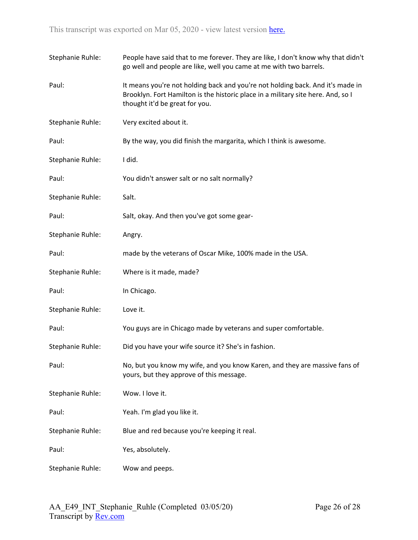| Stephanie Ruhle: | People have said that to me forever. They are like, I don't know why that didn't<br>go well and people are like, well you came at me with two barrels.                                               |
|------------------|------------------------------------------------------------------------------------------------------------------------------------------------------------------------------------------------------|
| Paul:            | It means you're not holding back and you're not holding back. And it's made in<br>Brooklyn. Fort Hamilton is the historic place in a military site here. And, so I<br>thought it'd be great for you. |
| Stephanie Ruhle: | Very excited about it.                                                                                                                                                                               |
| Paul:            | By the way, you did finish the margarita, which I think is awesome.                                                                                                                                  |
| Stephanie Ruhle: | I did.                                                                                                                                                                                               |
| Paul:            | You didn't answer salt or no salt normally?                                                                                                                                                          |
| Stephanie Ruhle: | Salt.                                                                                                                                                                                                |
| Paul:            | Salt, okay. And then you've got some gear-                                                                                                                                                           |
| Stephanie Ruhle: | Angry.                                                                                                                                                                                               |
| Paul:            | made by the veterans of Oscar Mike, 100% made in the USA.                                                                                                                                            |
| Stephanie Ruhle: | Where is it made, made?                                                                                                                                                                              |
| Paul:            | In Chicago.                                                                                                                                                                                          |
| Stephanie Ruhle: | Love it.                                                                                                                                                                                             |
| Paul:            | You guys are in Chicago made by veterans and super comfortable.                                                                                                                                      |
| Stephanie Ruhle: | Did you have your wife source it? She's in fashion.                                                                                                                                                  |
| Paul:            | No, but you know my wife, and you know Karen, and they are massive fans of<br>yours, but they approve of this message.                                                                               |
| Stephanie Ruhle: | Wow. I love it.                                                                                                                                                                                      |
| Paul:            | Yeah. I'm glad you like it.                                                                                                                                                                          |
| Stephanie Ruhle: | Blue and red because you're keeping it real.                                                                                                                                                         |
| Paul:            | Yes, absolutely.                                                                                                                                                                                     |
| Stephanie Ruhle: | Wow and peeps.                                                                                                                                                                                       |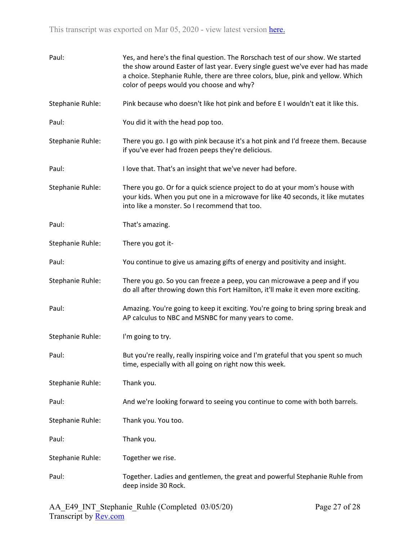| Paul:            | Yes, and here's the final question. The Rorschach test of our show. We started<br>the show around Easter of last year. Every single guest we've ever had has made<br>a choice. Stephanie Ruhle, there are three colors, blue, pink and yellow. Which<br>color of peeps would you choose and why? |
|------------------|--------------------------------------------------------------------------------------------------------------------------------------------------------------------------------------------------------------------------------------------------------------------------------------------------|
| Stephanie Ruhle: | Pink because who doesn't like hot pink and before E I wouldn't eat it like this.                                                                                                                                                                                                                 |
| Paul:            | You did it with the head pop too.                                                                                                                                                                                                                                                                |
| Stephanie Ruhle: | There you go. I go with pink because it's a hot pink and I'd freeze them. Because<br>if you've ever had frozen peeps they're delicious.                                                                                                                                                          |
| Paul:            | I love that. That's an insight that we've never had before.                                                                                                                                                                                                                                      |
| Stephanie Ruhle: | There you go. Or for a quick science project to do at your mom's house with<br>your kids. When you put one in a microwave for like 40 seconds, it like mutates<br>into like a monster. So I recommend that too.                                                                                  |
| Paul:            | That's amazing.                                                                                                                                                                                                                                                                                  |
| Stephanie Ruhle: | There you got it-                                                                                                                                                                                                                                                                                |
| Paul:            | You continue to give us amazing gifts of energy and positivity and insight.                                                                                                                                                                                                                      |
| Stephanie Ruhle: | There you go. So you can freeze a peep, you can microwave a peep and if you<br>do all after throwing down this Fort Hamilton, it'll make it even more exciting.                                                                                                                                  |
| Paul:            | Amazing. You're going to keep it exciting. You're going to bring spring break and<br>AP calculus to NBC and MSNBC for many years to come.                                                                                                                                                        |
| Stephanie Ruhle: | I'm going to try.                                                                                                                                                                                                                                                                                |
| Paul:            | But you're really, really inspiring voice and I'm grateful that you spent so much<br>time, especially with all going on right now this week.                                                                                                                                                     |
| Stephanie Ruhle: | Thank you.                                                                                                                                                                                                                                                                                       |
| Paul:            | And we're looking forward to seeing you continue to come with both barrels.                                                                                                                                                                                                                      |
| Stephanie Ruhle: | Thank you. You too.                                                                                                                                                                                                                                                                              |
| Paul:            | Thank you.                                                                                                                                                                                                                                                                                       |
| Stephanie Ruhle: | Together we rise.                                                                                                                                                                                                                                                                                |
| Paul:            | Together. Ladies and gentlemen, the great and powerful Stephanie Ruhle from<br>deep inside 30 Rock.                                                                                                                                                                                              |